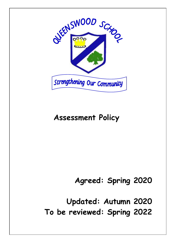

# **Assessment Policy**

**Agreed: Spring 2020**

**Updated: Autumn 2020**

**To be reviewed: Spring 2022**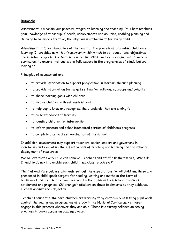## **Rationale**

Assessment is a continuous process integral to learning and teaching. It is how teachers gain knowledge of their pupils' needs, achievements and abilities, enabling planning and delivery to be more effective, thereby raising attainment for every child.

Assessment at Queenswood lies at the heart of the process of promoting children's learning. It provides us with a framework within which to set educational objectives and monitor progress. The National Curriculum 2014 has been designed as a 'mastery curriculum' to ensure that pupils are fully secure in the programmes of study before moving on

Principles of assessment are:-

- to provide information to support progression in learning through planning
- to provide information for target setting for individuals, groups and cohorts
- to share learning goals with children
- to involve children with self-assessment
- to help pupils know and recognise the standards they are aiming for
- to raise standards of learning
- to identify children for intervention
- to inform parents and other interested parties of children's progress
- to complete a critical self-evaluation of the school

In addition, assessment may support teachers, senior leaders and governors in monitoring and evaluating the effectiveness of teaching and learning and the school's deployment of resources.

We believe that every child can achieve. Teachers and staff ask themselves, 'What do I need to do next to enable each child in my class to achieve?'

The National Curriculum statements set out the expectations for all children, these are presented in child speak targets for reading, writing and maths in the form of bookmarks and are used by teachers, and by the children themselves, to assess attainment and progress. Children gain stickers on these bookmarks as they evidence success against each objective.

Teachers gauge the standard children are working at by continually assessing pupil work against the year group programmes of study in the National Curriculum – children engage in this process wherever they are able. There is a strong reliance on seeing progress in books across an academic year.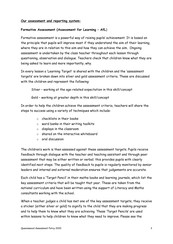#### **Our assessment and reporting system:**

#### **Formative Assessment (Assessment for Learning – AfL**)

Formative assessment is a powerful way of raising pupils' achievement. It is based on the principle that pupils will improve most if they understand the aim of their learning, where they are in relation to this aim and how they can achieve the aim. Ongoing assessment is undertaken by the class teacher throughout each lesson through questioning, observation and dialogue. Teachers check that children know what they are being asked to learn and more importantly, why.

In every lesson a 'Learning Target' is shared with the children and the 'assessment targets' are broken down into silver and gold assessment criteria. These are discussed with the children and represent the following:

Silver – working at the age-related expectation in this skill/concept

Gold – working at greater depth in this skill/concept

In order to help the children achieve the assessment criteria, teachers will share the steps to success using a variety of techniques which include:

- o checklists in their books
- o word banks in their writing toolkits
- o displays in the classroom
- o shared on the interactive whiteboard
- o oral discussion

The children's work is then assessed against these assessment targets. Pupils receive feedback through dialogue with the teacher and teaching assistant and through peer assessment that may be either written or verbal; this provides pupils with clearly identified next steps. The quality of feedback to pupils is regularly monitored by senior leaders and internal and external moderation ensures that judgements are accurate.

Each child has a 'Target Pencil' in their maths books and learning journals, which list the key assessment criteria that will be taught that year. These are taken from the national curriculum and have been written using the support of Literacy and Maths consultants working with the school.

When a teacher judges a child has met one of the key assessment targets, they receive a sticker (either silver or gold) to signify to the child that they are making progress and to help them to know what they are achieving. These 'Target Pencils' are used within lessons to help children to know what they need to improve. Please see the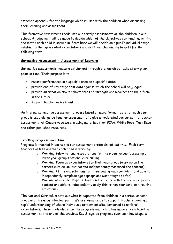attached appendix for the language which is used with the children when discussing their learning and assessment.

This formative assessment feeds into our termly assessments of the children in our school. A judgement will be made to decide which of the objectives for reading, writing and maths each child is secure in. From here we will decide on a pupil's individual stage relating to the age-related expectations and set them challenging targets for the following term.

### **Summative Assessment - Assessment of Learning**

Summative assessments measure attainment through standardised tests at any given point in time. Their purpose is to:

- record performance in a specific area on a specific date;
- provide end of key stage test data against which the school will be judged;
- provide information about cohort areas of strength and weakness to build from in the future
- support teacher assessment

An internal summative assessment process based on more formal tests for each year group is used alongside teacher assessments to give a moderated comparison to teacher assessment. At Queenswood we are using materials from PIRA, White Rose, Test Base and other published resources.

### **Tracking progress over time**

Progress is tracked in books and our assessment protocols reflect this. Each term, teachers assess whether each child is working:

- o Working Below national expectations for their year group (accessing a lower year group's national curriculum)
- o Working Towards expectations for their year group (working on the correct curriculum, but not yet independently mastered the content)
- o Working At the expectations for their year group (confident and able to independently complete age appropriate work taught so far)
- o Working at Greater Depth (fluent and accurate with the age appropriate content and able to independently apply this to non-standard, non-routine situations)

The National Curriculum sets out what is expected from children in a particular year group and this is our starting point. We use visual grids to support teachers gaining a rapid understanding of where individuals attainment sits, compared to national expectations. These grids also show the progress each child has made since a baseline assessment at the end of the previous Key Stage, so progress over each key stage is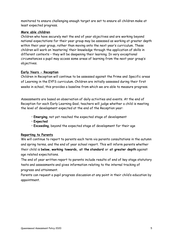monitored to ensure challenging enough target are set to ensure all children make at least expected progress.

## **More able children**

Children who have securely met the end of year objectives and are working beyond national expectations for their year group may be assessed as working at greater depth within their year group, rather than moving onto the next year's curriculum. These children will work on 'mastering' their knowledge through the application of skills in different contexts – they will be deepening their learning. In very exceptional circumstances a pupil may access some areas of learning from the next year group's objectives.

### **Early Years - Reception**

Children in Reception will continue to be assessed against the Prime and Specific areas of Learning in the EYFS curriculum. Children are initially assessed during their first weeks in school, this provides a baseline from which we are able to measure progress.

Assessments are based on observation of daily activities and events. At the end of Reception for each Early Learning Goal, teachers will judge whether a child is meeting the level of development expected at the end of the Reception year:

- **Emerging**, not yet reached the expected stage of development
- **Expected**
- **Exceeding**, beyond the expected stage of development for their age

# **Reporting to Parents**

We will continue to report to parents each term via parents consultations in the autumn and spring terms, and the end of year school report. This will inform parents whether their child is **below, working towards, at the standard** or **at greater depth** against age related expectations.

The end of year written report to parents include results of end of key stage statutory tests and assessments and gives information relating to the internal tracking of progress and attainment.

Parents can request a pupil progress discussion at any point in their child's education by appointment.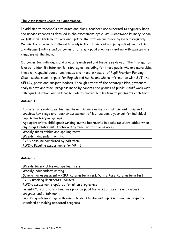## **The Assessment Cycle at Queenswood:**

In addition to teacher's own notes and plans, teachers are expected to regularly keep and update records as detailed in the assessment cycle. At Queenswood Primary School we follow an assessment cycle and update the data on our tracking system regularly. We use the information stored to analyse the attainment and progress of each class and discuss findings and outcomes at a termly pupil progress meeting with appropriate members of the team.

Outcomes for individuals and groups is analysed and targets reviewed. The information is used to identify intervention strategies, including for those pupils who are more able, those with special educational needs and those in receipt of Pupil Premium Funding. Class teachers set targets for English and Maths and share information with SLT, the SENCO, phase and subject leaders. Through review of the Strategic Plan, governors analyse data and track progress made by cohorts and groups of pupils. Staff work with colleagues at school and in local schools to moderate assessment judgments each term.

## **Autumn 1**

Targets for reading, writing, maths and science using prior attainment from end of previous key stage and teacher assessment of last academic year set for individual pupils/classes/year groups.

Age appropriate child speak writing, maths bookmarks in books (stickers added when any target statement is achieved by teacher or child as able)

Weekly times-tables and spelling tests

Weekly independent writing

EYFS baseline completed by half term

RWInc Baseline assessments for YR - 3

### **Autumn 2**

Weekly times-tables and spelling tests

Weekly independent writing

Summative Assessment – PIRA Autumn term rest; White Rose Autumn term test EYFS tracking documents updated

RWInc assessments updated for all on programme

Parents Consultations – teachers provide pupil targets for parents and discuss progress and attainment.

Pupil Progress meetings with senior leaders to discuss pupils not reaching expected standard or making expected progress.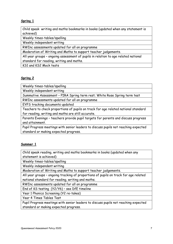# **Spring 1**

Child speak writing and maths bookmarks in books (updated when any statement is achieved)

Weekly times-tables/spelling

Weekly independent writing

RWInc assessments updated for all on programme

Moderation of Writing and Maths to support teacher judgements.

All year groups – ongoing assessment of pupils in relation to age related national standard for reading, writing and maths.

KS1 and KS2 Mock tests

### **Spring 2**

Weekly times-tables/spelling

Weekly independent writing

Summative Assessment – PIRA Spring term rest; White Rose Spring term test

RWInc assessments updated for all on programme

EYFS tracking documents updated

Teachers to check proportions of pupils on track for age related national standard for reading, writing and maths are still accurate.

Parents Evenings – teachers provide pupil targets for parents and discuss progress and attainment.

Pupil Progress meetings with senior leaders to discuss pupils not reaching expected standard or making expected progress.

### **Summer 1**

Child speak reading, writing and maths bookmarks in books (updated when any statement is achieved)

Weekly times-tables/spelling

Weekly independent writing

Moderation of Writing and Maths to support teacher judgements.

All year groups – ongoing tracking of proportions of pupils on track for age related national standard for reading, writing and maths.

RWInc assessments updated for all on programme

End of KS testing (Y2/Y6) – see DfE timeline

Year 1 Phonics Screening (Y2 re-takes)

Year 4 Times Tables Test

Pupil Progress meetings with senior leaders to discuss pupils not reaching expected standard or making expected progress.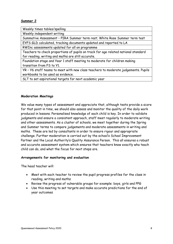## **Summer 2**

Weekly times tables/spelling

Weekly independent writing

Summative Assessment – PIRA Summer term rest; White Rose Summer term test EYFS GLD calculated, tracking documents updated and reported to LA

RWInc assessments updated for all on programme

Teachers to check proportions of pupils on track for age related national standard for reading, writing and maths are still accurate.

Foundation stage and Year 1 staff meeting to moderate for children making transition from FS to Y1.

YR – Y6 staff teams to meet with new class teachers to moderate judgements. Pupils workbooks to be used as evidence.

SLT to set aspirational targets for next academic year

### **Moderation Meetings**

We value many types of assessment and appreciate that, although tests provide a score for that point in time, we should also assess and monitor the quality of the daily work produced in lessons. Personalised knowledge of each child is key. In order to validate judgments and ensure a consistent approach, staff meet regularly to moderate writing and other assessments. As a cluster of schools, we meet together during the Spring and Summer terms to compare judgements and moderate assessments in writing and maths. These are led by consultants in order to ensure rigour and appropriate challenge. Further moderation is carried out by the school's School Improvement Partner and the Local Authority's Quality Assurance Person. This all ensures a robust and accurate assessment system which ensures that teachers know exactly wha teach child can do, and what the focus for next steps are.

#### **Arrangements for monitoring and evaluation**

The head teacher will:

- Meet with each teacher to review the pupil progress profiles for the class in reading, writing and maths
- Review the progress of vulnerable groups for example: boys, girls and PPG
- Use this meeting to set targets and make accurate predictions for the end of year outcomes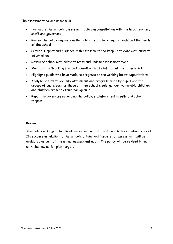The assessment co-ordinator will:

- Formulate the school's assessment policy in consultation with the head teacher, staff and governors
- Review the policy regularly in the light of statutory requirements and the needs of the school
- Provide support and guidance with assessment and keep up to date with current information
- Resource school with relevant tests and update assessment cycle
- Maintain the 'tracking file' and consult with all staff about the targets set
- Highlight pupils who have made no progress or are working below expectations
- Analyse results to identify attainment and progress made by pupils and for groups of pupils such as those on free school meals, gender, vulnerable children and children from an ethnic background
- Report to governors regarding the policy, statutory test results and cohort targets

### **Review**

This policy is subject to annual review, as part of the school self-evaluation process. Its success in relation to the school's attainment targets for assessment will be evaluated as part of the annual assessment audit. The policy will be revised in line with the new action plan targets